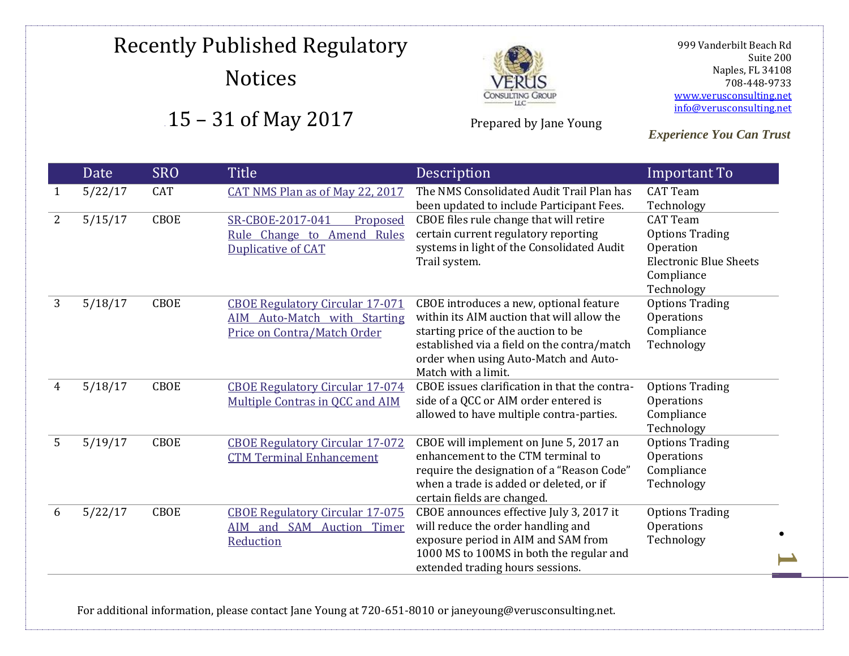

Prepared by Jane Young

 999 Vanderbilt Beach Rd Suite 200 Naples, FL 34108 708-448-9733 [www.verusconsulting.net](http://www.verusconsulting.net/) [info@verusconsulting.net](mailto:info@verusconsulting.net)

*Experience You Can Trust*

|   | Date    | <b>SRO</b>  | <b>Title</b>                           | Description                                                                       | Important To                         |
|---|---------|-------------|----------------------------------------|-----------------------------------------------------------------------------------|--------------------------------------|
|   | 5/22/17 | CAT         | CAT NMS Plan as of May 22, 2017        | The NMS Consolidated Audit Trail Plan has                                         | <b>CAT Team</b>                      |
|   |         |             |                                        | been updated to include Participant Fees.                                         | Technology                           |
| 2 | 5/15/17 | <b>CBOE</b> | SR-CBOE-2017-041<br>Proposed           | CBOE files rule change that will retire                                           | <b>CAT Team</b>                      |
|   |         |             | Rule Change to Amend Rules             | certain current regulatory reporting                                              | <b>Options Trading</b>               |
|   |         |             | Duplicative of CAT                     | systems in light of the Consolidated Audit                                        | Operation                            |
|   |         |             |                                        | Trail system.                                                                     | <b>Electronic Blue Sheets</b>        |
|   |         |             |                                        |                                                                                   | Compliance                           |
|   |         |             |                                        |                                                                                   | Technology                           |
| 3 | 5/18/17 | <b>CBOE</b> | <b>CBOE Regulatory Circular 17-071</b> | CBOE introduces a new, optional feature                                           | <b>Options Trading</b>               |
|   |         |             | AIM Auto-Match with Starting           | within its AIM auction that will allow the                                        | Operations                           |
|   |         |             | Price on Contra/Match Order            | starting price of the auction to be                                               | Compliance                           |
|   |         |             |                                        | established via a field on the contra/match                                       | Technology                           |
|   |         |             |                                        | order when using Auto-Match and Auto-<br>Match with a limit.                      |                                      |
|   |         |             |                                        |                                                                                   |                                      |
| 4 | 5/18/17 | CBOE        | <b>CBOE Regulatory Circular 17-074</b> | CBOE issues clarification in that the contra-                                     | <b>Options Trading</b>               |
|   |         |             | Multiple Contras in QCC and AIM        | side of a QCC or AIM order entered is<br>allowed to have multiple contra-parties. | Operations<br>Compliance             |
|   |         |             |                                        |                                                                                   |                                      |
| 5 | 5/19/17 | CBOE        | <b>CBOE Regulatory Circular 17-072</b> | CBOE will implement on June 5, 2017 an                                            | Technology<br><b>Options Trading</b> |
|   |         |             | <b>CTM Terminal Enhancement</b>        | enhancement to the CTM terminal to                                                | Operations                           |
|   |         |             |                                        | require the designation of a "Reason Code"                                        | Compliance                           |
|   |         |             |                                        | when a trade is added or deleted, or if                                           | Technology                           |
|   |         |             |                                        | certain fields are changed.                                                       |                                      |
| 6 | 5/22/17 | CBOE        | <b>CBOE Regulatory Circular 17-075</b> | CBOE announces effective July 3, 2017 it                                          | <b>Options Trading</b>               |
|   |         |             | <b>SAM Auction Timer</b><br>AIM and    | will reduce the order handling and                                                | Operations                           |
|   |         |             | Reduction                              | exposure period in AIM and SAM from                                               | Technology                           |
|   |         |             |                                        | 1000 MS to 100MS in both the regular and                                          |                                      |
|   |         |             |                                        | extended trading hours sessions.                                                  |                                      |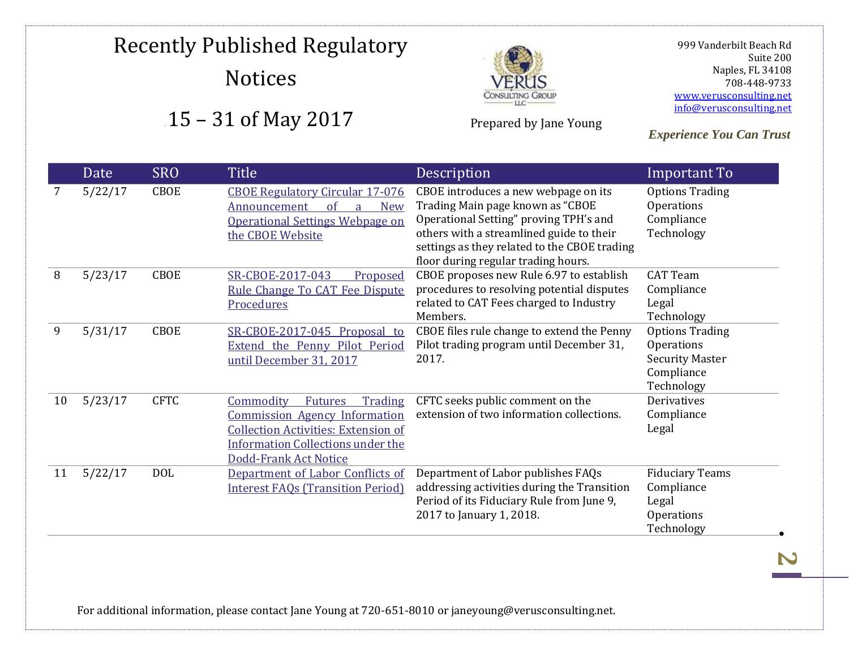

Prepared by Jane Young

 999 Vanderbilt Beach Rd Suite 200 Naples, FL 34108 708-448-9733 [www.verusconsulting.net](http://www.verusconsulting.net/) [info@verusconsulting.net](mailto:info@verusconsulting.net)

*Experience You Can Trust*

|    | Date    | <b>SRO</b>  | <b>Title</b>                                                                                                                                                                                             | Description                                                                                                                                                                                                                                           | Important To                                                                               |
|----|---------|-------------|----------------------------------------------------------------------------------------------------------------------------------------------------------------------------------------------------------|-------------------------------------------------------------------------------------------------------------------------------------------------------------------------------------------------------------------------------------------------------|--------------------------------------------------------------------------------------------|
| 7  | 5/22/17 | <b>CBOE</b> | <b>CBOE Regulatory Circular 17-076</b><br>of<br><b>New</b><br>Announcement<br><b>Operational Settings Webpage on</b><br>the CBOE Website                                                                 | CBOE introduces a new webpage on its<br>Trading Main page known as "CBOE<br>Operational Setting" proving TPH's and<br>others with a streamlined guide to their<br>settings as they related to the CBOE trading<br>floor during regular trading hours. | <b>Options Trading</b><br>Operations<br>Compliance<br>Technology                           |
| 8  | 5/23/17 | CBOE        | SR-CBOE-2017-043<br>Proposed<br>Rule Change To CAT Fee Dispute<br>Procedures                                                                                                                             | CBOE proposes new Rule 6.97 to establish<br>procedures to resolving potential disputes<br>related to CAT Fees charged to Industry<br>Members.                                                                                                         | <b>CAT Team</b><br>Compliance<br>Legal<br>Technology                                       |
| 9  | 5/31/17 | <b>CBOE</b> | SR-CBOE-2017-045 Proposal to<br>Extend the Penny Pilot Period<br>until December 31, 2017                                                                                                                 | CBOE files rule change to extend the Penny<br>Pilot trading program until December 31,<br>2017.                                                                                                                                                       | <b>Options Trading</b><br>Operations<br><b>Security Master</b><br>Compliance<br>Technology |
| 10 | 5/23/17 | <b>CFTC</b> | Commodity<br>Trading<br><b>Futures</b><br><b>Commission Agency Information</b><br><b>Collection Activities: Extension of</b><br><b>Information Collections under the</b><br><b>Dodd-Frank Act Notice</b> | CFTC seeks public comment on the<br>extension of two information collections.                                                                                                                                                                         | Derivatives<br>Compliance<br>Legal                                                         |
| 11 | 5/22/17 | <b>DOL</b>  | Department of Labor Conflicts of<br><b>Interest FAQs (Transition Period)</b>                                                                                                                             | Department of Labor publishes FAQs<br>addressing activities during the Transition<br>Period of its Fiduciary Rule from June 9,<br>2017 to January 1, 2018.                                                                                            | <b>Fiduciary Teams</b><br>Compliance<br>Legal<br>Operations<br>Technology                  |

For additional information, please contact Jane Young at 720-651-8010 or janeyoung@verusconsulting.net.

**2**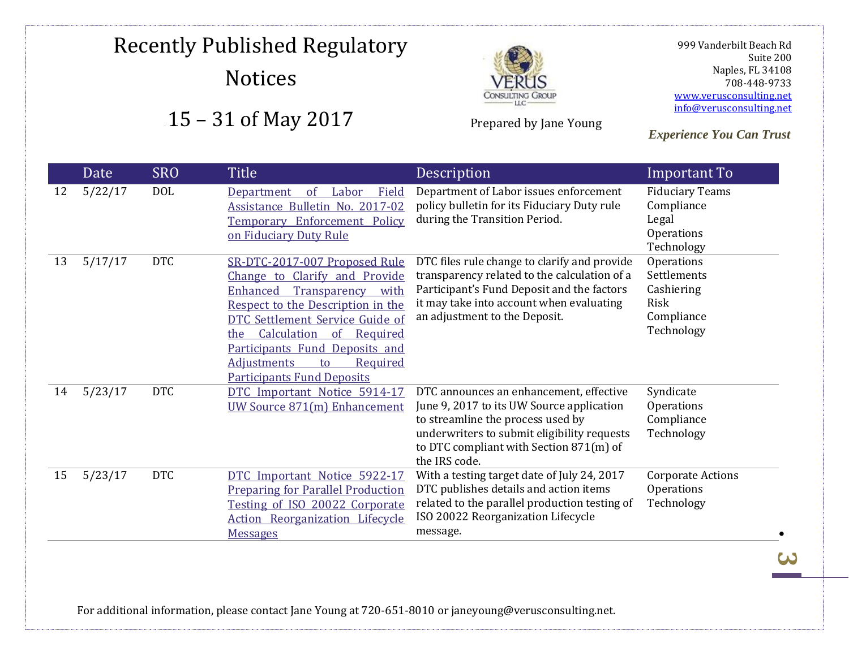

Prepared by Jane Young

 999 Vanderbilt Beach Rd Suite 200 Naples, FL 34108 708-448-9733 [www.verusconsulting.net](http://www.verusconsulting.net/) [info@verusconsulting.net](mailto:info@verusconsulting.net)

*Experience You Can Trust*

### . Date SRO Title Description **Important To** 12 5/22/17 DOL [Department of Labor Field](https://www.dol.gov/agencies/ebsa/employers-and-advisers/guidance/field-assistance-bulletins/2017-02)  [Assistance Bulletin No. 2017-02](https://www.dol.gov/agencies/ebsa/employers-and-advisers/guidance/field-assistance-bulletins/2017-02)  [Temporary Enforcement Policy](https://www.dol.gov/agencies/ebsa/employers-and-advisers/guidance/field-assistance-bulletins/2017-02)  [on Fiduciary Duty Rule](https://www.dol.gov/agencies/ebsa/employers-and-advisers/guidance/field-assistance-bulletins/2017-02) Department of Labor issues enforcement policy bulletin for its Fiduciary Duty rule during the Transition Period. Fiduciary Teams Compliance Legal Operations Technology 13 5/17/17 DTC [SR-DTC-2017-007 Proposed Rule](http://www.dtcc.com/~/media/Files/Downloads/legal/rule-filings/2017/dtc/SR-DTC-2017-007.pdf)  [Change to Clarify and Provide](http://www.dtcc.com/~/media/Files/Downloads/legal/rule-filings/2017/dtc/SR-DTC-2017-007.pdf)  [Enhanced Transparency with](http://www.dtcc.com/~/media/Files/Downloads/legal/rule-filings/2017/dtc/SR-DTC-2017-007.pdf)  [Respect to the Description in the](http://www.dtcc.com/~/media/Files/Downloads/legal/rule-filings/2017/dtc/SR-DTC-2017-007.pdf)  [DTC Settlement Service Guide of](http://www.dtcc.com/~/media/Files/Downloads/legal/rule-filings/2017/dtc/SR-DTC-2017-007.pdf)  [the Calculation of Required](http://www.dtcc.com/~/media/Files/Downloads/legal/rule-filings/2017/dtc/SR-DTC-2017-007.pdf)  [Participants Fund Deposits and](http://www.dtcc.com/~/media/Files/Downloads/legal/rule-filings/2017/dtc/SR-DTC-2017-007.pdf)  [Adjustments to Required](http://www.dtcc.com/~/media/Files/Downloads/legal/rule-filings/2017/dtc/SR-DTC-2017-007.pdf)  [Participants Fund Deposits](http://www.dtcc.com/~/media/Files/Downloads/legal/rule-filings/2017/dtc/SR-DTC-2017-007.pdf) DTC files rule change to clarify and provide transparency related to the calculation of a Participant's Fund Deposit and the factors it may take into account when evaluating an adjustment to the Deposit. **Operations Settlements** Cashiering Risk Compliance Technology 14 5/23/17 DTC [DTC Important Notice 5914-17](http://www.dtcc.com/~/media/Files/pdf/2017/5/23/5914-17.pdf)  [UW Source 871\(m\) Enhancement](http://www.dtcc.com/~/media/Files/pdf/2017/5/23/5914-17.pdf) DTC announces an enhancement, effective June 9, 2017 to its UW Source application to streamline the process used by underwriters to submit eligibility requests to DTC compliant with Section 871(m) of the IRS code. Syndicate Operations Compliance Technology 15 5/23/17 DTC [DTC Important Notice 5922-17](http://www.dtcc.com/~/media/Files/pdf/2017/5/23/5922-17.pdf)  [Preparing for Parallel Production](http://www.dtcc.com/~/media/Files/pdf/2017/5/23/5922-17.pdf)  [Testing of ISO 20022 Corporate](http://www.dtcc.com/~/media/Files/pdf/2017/5/23/5922-17.pdf)  [Action Reorganization Lifecycle](http://www.dtcc.com/~/media/Files/pdf/2017/5/23/5922-17.pdf)  **[Messages](http://www.dtcc.com/~/media/Files/pdf/2017/5/23/5922-17.pdf)** With a testing target date of July 24, 2017 DTC publishes details and action items related to the parallel production testing of ISO 20022 Reorganization Lifecycle message. Corporate Actions **Operations** Technology

For additional information, please contact Jane Young at 720-651-8010 or janeyoung@verusconsulting.net.

<u>لى</u>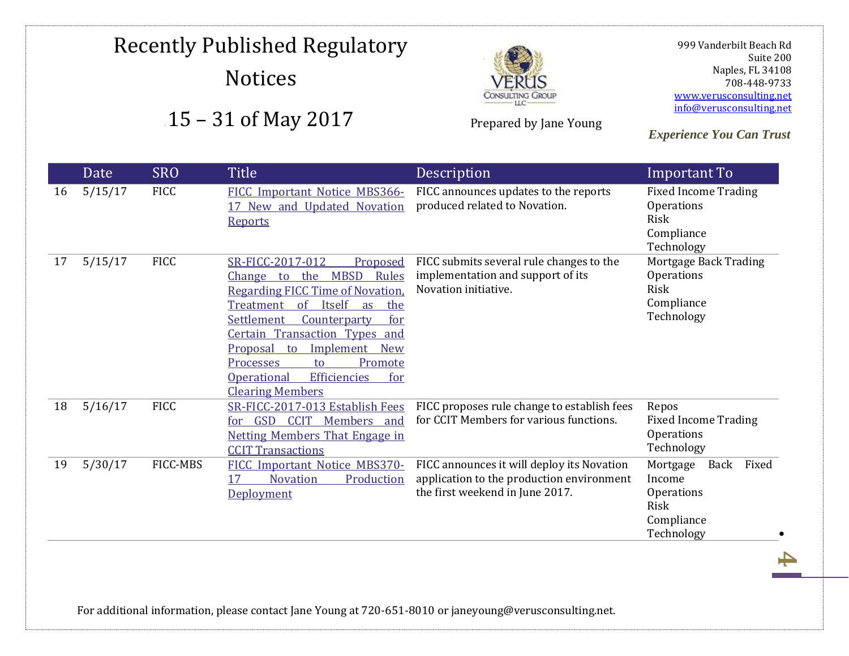# Recently Published Regulatory Notices





Prepared by Jane Young

 999 Vanderbilt Beach Rd Suite 200 Naples, FL 34108 708-448-9733 [www.verusconsulting.net](http://www.verusconsulting.net/) [info@verusconsulting.net](mailto:info@verusconsulting.net)

*Experience You Can Trust*

|    | Date    | <b>SRO</b>  | <b>Title</b>                                                                                                                                                                                                                                                                                                                                                                                                      | Description                                                                                                                | Important To                                                                          |
|----|---------|-------------|-------------------------------------------------------------------------------------------------------------------------------------------------------------------------------------------------------------------------------------------------------------------------------------------------------------------------------------------------------------------------------------------------------------------|----------------------------------------------------------------------------------------------------------------------------|---------------------------------------------------------------------------------------|
| 16 | 5/15/17 | <b>FICC</b> | FICC Important Notice MBS366-<br>17 New and Updated Novation<br><b>Reports</b>                                                                                                                                                                                                                                                                                                                                    | FICC announces updates to the reports<br>produced related to Novation.                                                     | <b>Fixed Income Trading</b><br>Operations<br>Risk<br>Compliance<br>Technology         |
| 17 | 5/15/17 | <b>FICC</b> | SR-FICC-2017-012<br>Proposed<br>the<br><b>MBSD</b><br>Rules<br><b>Change</b><br>to<br><b>Regarding FICC Time of Novation.</b><br>Itself<br>$\alpha$<br>Treatment<br>as<br>the<br><b>Settlement</b><br>Counterparty<br>for<br>Certain Transaction Types and<br>Implement New<br><b>Proposal</b><br>to<br>Promote<br>Processes<br>to<br><b>Efficiencies</b><br><b>Operational</b><br>for<br><b>Clearing Members</b> | FICC submits several rule changes to the<br>implementation and support of its<br>Novation initiative.                      | Mortgage Back Trading<br>Operations<br>Risk<br>Compliance<br>Technology               |
| 18 | 5/16/17 | <b>FICC</b> | SR-FICC-2017-013 Establish Fees<br>GSD<br><b>CCIT</b><br>Members and<br>for<br><b>Netting Members That Engage in</b><br><b>CCIT Transactions</b>                                                                                                                                                                                                                                                                  | FICC proposes rule change to establish fees<br>for CCIT Members for various functions.                                     | Repos<br><b>Fixed Income Trading</b><br>Operations<br>Technology                      |
| 19 | 5/30/17 | FICC-MBS    | FICC Important Notice MBS370-<br><b>Novation</b><br>Production<br>17<br>Deployment                                                                                                                                                                                                                                                                                                                                | FICC announces it will deploy its Novation<br>application to the production environment<br>the first weekend in June 2017. | Fixed<br>Mortgage<br>Back<br>Income<br>Operations<br>Risk<br>Compliance<br>Technology |

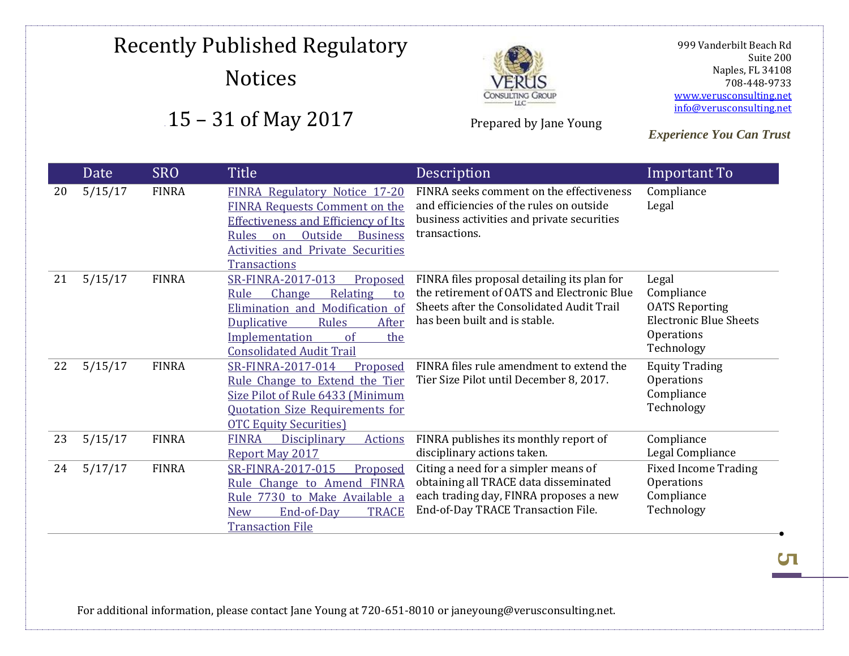

Prepared by Jane Young

 999 Vanderbilt Beach Rd Suite 200 Naples, FL 34108 708-448-9733 [www.verusconsulting.net](http://www.verusconsulting.net/) [info@verusconsulting.net](mailto:info@verusconsulting.net)

*Experience You Can Trust*

|    | Date    | <b>SRO</b>   | Title                                                                                                                                                                                                                                            | Description                                                                                                                                                             | Important To                                                                                              |
|----|---------|--------------|--------------------------------------------------------------------------------------------------------------------------------------------------------------------------------------------------------------------------------------------------|-------------------------------------------------------------------------------------------------------------------------------------------------------------------------|-----------------------------------------------------------------------------------------------------------|
| 20 | 5/15/17 | <b>FINRA</b> | FINRA Regulatory Notice 17-20<br><b>FINRA Requests Comment on the</b><br><b>Effectiveness and Efficiency of Its</b><br>Outside<br><b>Rules</b><br><b>Business</b><br>$\alpha$<br><b>Activities and Private Securities</b><br><b>Transactions</b> | FINRA seeks comment on the effectiveness<br>and efficiencies of the rules on outside<br>business activities and private securities<br>transactions.                     | Compliance<br>Legal                                                                                       |
| 21 | 5/15/17 | <b>FINRA</b> | SR-FINRA-2017-013<br>Proposed<br>Change<br>Relating<br>Rule<br>to<br>Elimination and Modification of<br><b>Rules</b><br>After<br><b>Duplicative</b><br><b>Implementation</b><br>of<br>the<br><b>Consolidated Audit Trail</b>                     | FINRA files proposal detailing its plan for<br>the retirement of OATS and Electronic Blue<br>Sheets after the Consolidated Audit Trail<br>has been built and is stable. | Legal<br>Compliance<br><b>OATS Reporting</b><br><b>Electronic Blue Sheets</b><br>Operations<br>Technology |
| 22 | 5/15/17 | <b>FINRA</b> | SR-FINRA-2017-014<br>Proposed<br>Rule Change to Extend the Tier<br>Size Pilot of Rule 6433 (Minimum<br><b>Quotation Size Requirements for</b><br><b>OTC Equity Securities</b> )                                                                  | FINRA files rule amendment to extend the<br>Tier Size Pilot until December 8, 2017.                                                                                     | <b>Equity Trading</b><br>Operations<br>Compliance<br>Technology                                           |
| 23 | 5/15/17 | <b>FINRA</b> | <b>FINRA</b><br>Disciplinary<br>Actions<br>Report May 2017                                                                                                                                                                                       | FINRA publishes its monthly report of<br>disciplinary actions taken.                                                                                                    | Compliance<br>Legal Compliance                                                                            |
| 24 | 5/17/17 | <b>FINRA</b> | SR-FINRA-2017-015<br>Proposed<br>Rule Change to Amend FINRA<br>Rule 7730 to Make Available a<br>End-of-Day<br><b>TRACE</b><br><b>New</b><br><b>Transaction File</b>                                                                              | Citing a need for a simpler means of<br>obtaining all TRACE data disseminated<br>each trading day, FINRA proposes a new<br>End-of-Day TRACE Transaction File.           | <b>Fixed Income Trading</b><br>Operations<br>Compliance<br>Technology                                     |

For additional information, please contact Jane Young at 720-651-8010 or janeyoung@verusconsulting.net.

**СП**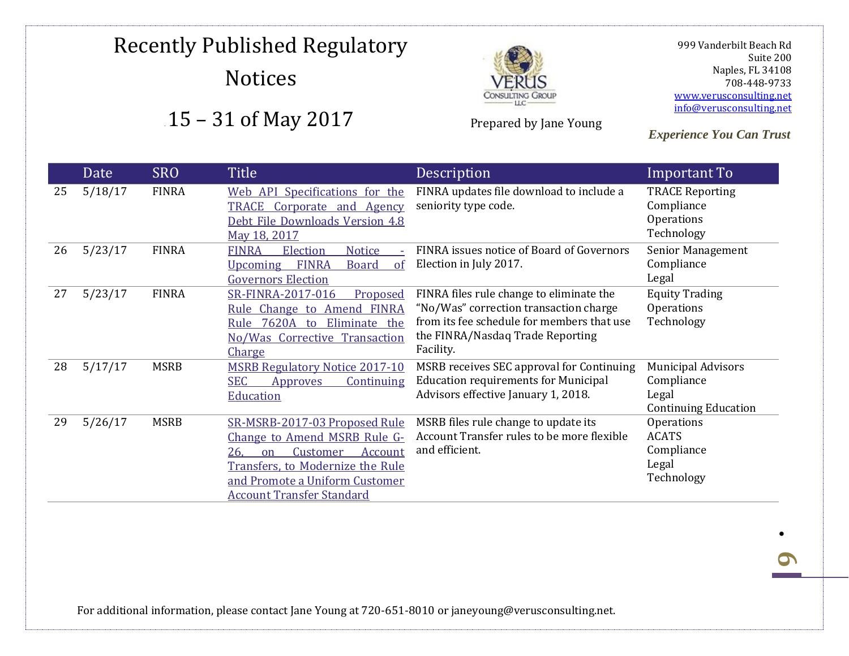

Prepared by Jane Young

 999 Vanderbilt Beach Rd Suite 200 Naples, FL 34108 708-448-9733 [www.verusconsulting.net](http://www.verusconsulting.net/) [info@verusconsulting.net](mailto:info@verusconsulting.net)

*Experience You Can Trust*

### Date SRO Title Description **Important To** 25 5/18/17 FINRA [Web API Specifications for the](http://www.finra.org/sites/default/files/TRACE-CA-debt-web-api-Specs-v4.8.pdf?utm_source=MM&utm_medium=email&utm_campaign=TRACE_Notice_051817_FINAL)  [TRACE Corporate and Agency](http://www.finra.org/sites/default/files/TRACE-CA-debt-web-api-Specs-v4.8.pdf?utm_source=MM&utm_medium=email&utm_campaign=TRACE_Notice_051817_FINAL)  [Debt File Downloads Version 4.8](http://www.finra.org/sites/default/files/TRACE-CA-debt-web-api-Specs-v4.8.pdf?utm_source=MM&utm_medium=email&utm_campaign=TRACE_Notice_051817_FINAL)  May [18, 2017](http://www.finra.org/sites/default/files/TRACE-CA-debt-web-api-Specs-v4.8.pdf?utm_source=MM&utm_medium=email&utm_campaign=TRACE_Notice_051817_FINAL) FINRA updates file download to include a seniority type code. TRACE Reporting Compliance **Operations** Technology 26 5/23/17 FINRA FINRA Election Notice [Upcoming FINRA Board of](http://www.finra.org/sites/default/files/notice_doc_file_ref/Election-Notice-052317.pdf)  [Governors Election](http://www.finra.org/sites/default/files/notice_doc_file_ref/Election-Notice-052317.pdf) FINRA issues notice of Board of Governors Election in July 2017. Senior Management Compliance Legal 27 5/23/17 FINRA [SR-FINRA-2017-016 Proposed](http://www.finra.org/sites/default/files/rule_filing_file/SR-FINRA-2017-016.pdf)  [Rule Change to Amend FINRA](http://www.finra.org/sites/default/files/rule_filing_file/SR-FINRA-2017-016.pdf)  [Rule 7620A to Eliminate the](http://www.finra.org/sites/default/files/rule_filing_file/SR-FINRA-2017-016.pdf)  [No/Was Corrective Transaction](http://www.finra.org/sites/default/files/rule_filing_file/SR-FINRA-2017-016.pdf)  [Charge](http://www.finra.org/sites/default/files/rule_filing_file/SR-FINRA-2017-016.pdf) FINRA files rule change to eliminate the "No/Was" correction transaction charge from its fee schedule for members that use the FINRA/Nasdaq Trade Reporting Facility. Equity Trading Operations Technology 28 5/17/17 MSRB [MSRB Regulatory Notice 2017-10](http://www.msrb.org/Rules-and-Interpretations/Regulatory-Notices.aspx)  [SEC Approves Continuing](http://www.msrb.org/Rules-and-Interpretations/Regulatory-Notices.aspx)  [Education](http://www.msrb.org/Rules-and-Interpretations/Regulatory-Notices.aspx) MSRB receives SEC approval for Continuing Education requirements for Municipal Advisors effective January 1, 2018. Municipal Advisors Compliance Legal Continuing Education 29 5/26/17 MSRB [SR-MSRB-2017-03 Proposed Rule](http://www.msrb.org/~/media/Files/SEC-Filings/2017/MSRB-2017-03.ashx)  [Change to Amend MSRB Rule G-](http://www.msrb.org/~/media/Files/SEC-Filings/2017/MSRB-2017-03.ashx)[26, on Customer Account](http://www.msrb.org/~/media/Files/SEC-Filings/2017/MSRB-2017-03.ashx)  [Transfers, to Modernize the Rule](http://www.msrb.org/~/media/Files/SEC-Filings/2017/MSRB-2017-03.ashx)  [and Promote a Uniform Customer](http://www.msrb.org/~/media/Files/SEC-Filings/2017/MSRB-2017-03.ashx)  [Account Transfer Standard](http://www.msrb.org/~/media/Files/SEC-Filings/2017/MSRB-2017-03.ashx) MSRB files rule change to update its Account Transfer rules to be more flexible and efficient. Operations ACATS Compliance Legal Technology

For additional information, please contact Jane Young at 720-651-8010 or janeyoung@verusconsulting.net.

**6**

.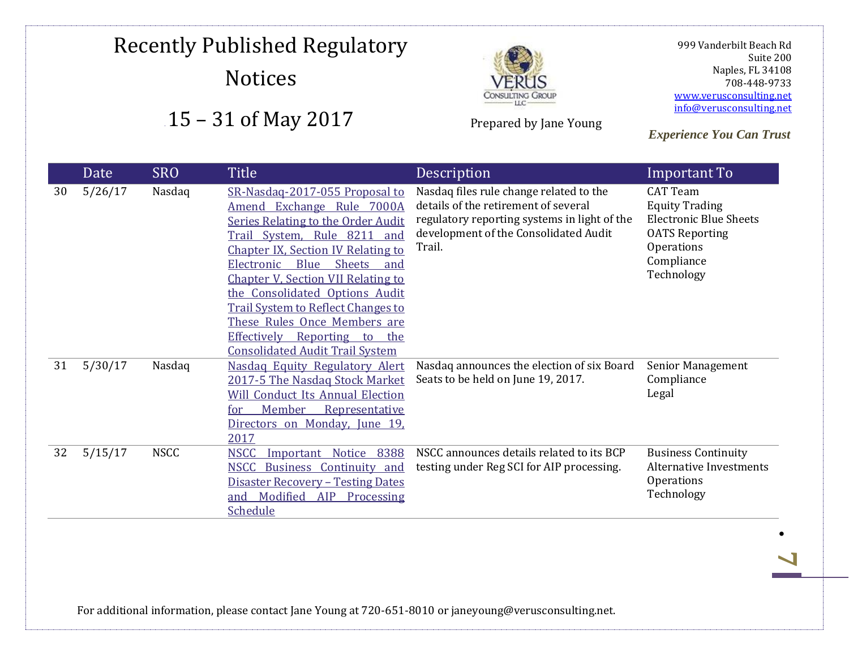

Prepared by Jane Young

 999 Vanderbilt Beach Rd Suite 200 Naples, FL 34108 708-448-9733 [www.verusconsulting.net](http://www.verusconsulting.net/) [info@verusconsulting.net](mailto:info@verusconsulting.net)

*Experience You Can Trust*

|    | Date    | <b>SRO</b>  | Title                                                                                                                                                                                                                                                                                                                                                                                                                                                                | Description                                                                                                                                                                        | Important To                                                                                                                                 |
|----|---------|-------------|----------------------------------------------------------------------------------------------------------------------------------------------------------------------------------------------------------------------------------------------------------------------------------------------------------------------------------------------------------------------------------------------------------------------------------------------------------------------|------------------------------------------------------------------------------------------------------------------------------------------------------------------------------------|----------------------------------------------------------------------------------------------------------------------------------------------|
| 30 | 5/26/17 | Nasdaq      | SR-Nasdag-2017-055 Proposal to<br>Amend Exchange Rule 7000A<br>Series Relating to the Order Audit<br>Trail System, Rule 8211<br>and<br><b>Chapter IX, Section IV Relating to</b><br>Electronic<br>Blue<br><b>Sheets</b><br>and<br><b>Chapter V, Section VII Relating to</b><br>the Consolidated Options Audit<br><b>Trail System to Reflect Changes to</b><br>These Rules Once Members are<br>Effectively Reporting to the<br><b>Consolidated Audit Trail System</b> | Nasdaq files rule change related to the<br>details of the retirement of several<br>regulatory reporting systems in light of the<br>development of the Consolidated Audit<br>Trail. | <b>CAT Team</b><br><b>Equity Trading</b><br><b>Electronic Blue Sheets</b><br><b>OATS Reporting</b><br>Operations<br>Compliance<br>Technology |
| 31 | 5/30/17 | Nasdaq      | Nasdag Equity Regulatory Alert<br>2017-5 The Nasdag Stock Market<br><b>Will Conduct Its Annual Election</b><br>Member<br>Representative<br>for<br>Directors on Monday, June 19,<br>2017                                                                                                                                                                                                                                                                              | Nasdaq announces the election of six Board<br>Seats to be held on June 19, 2017.                                                                                                   | <b>Senior Management</b><br>Compliance<br>Legal                                                                                              |
| 32 | 5/15/17 | <b>NSCC</b> | 8388<br><b>NSCC</b><br>Notice<br>Important<br>NSCC Business Continuity and<br><b>Disaster Recovery - Testing Dates</b><br>Modified<br><b>AIP</b><br>Processing<br>and<br><b>Schedule</b>                                                                                                                                                                                                                                                                             | NSCC announces details related to its BCP<br>testing under Reg SCI for AIP processing.                                                                                             | <b>Business Continuity</b><br>Alternative Investments<br>Operations<br>Technology                                                            |

For additional information, please contact Jane Young at 720-651-8010 or janeyoung@verusconsulting.net.

**7**

 $\bullet$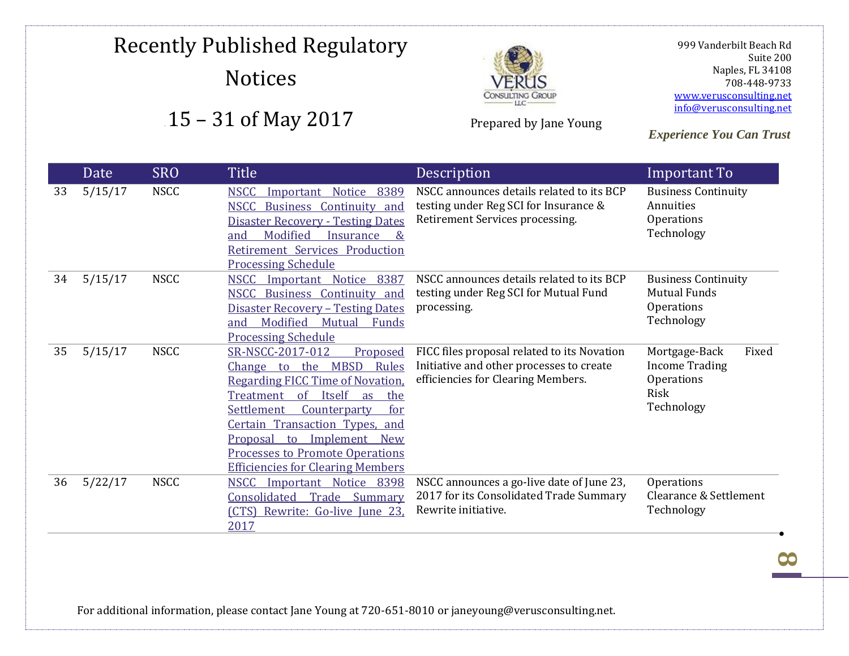

Prepared by Jane Young

 999 Vanderbilt Beach Rd Suite 200 Naples, FL 34108 708-448-9733 [www.verusconsulting.net](http://www.verusconsulting.net/) [info@verusconsulting.net](mailto:info@verusconsulting.net)

*Experience You Can Trust*

|    | Date    | <b>SRO</b>  | Title                                                                                                                                                                                                                                                                                                                                                                 | Description                                                                                                                   | Important To                                                                        |
|----|---------|-------------|-----------------------------------------------------------------------------------------------------------------------------------------------------------------------------------------------------------------------------------------------------------------------------------------------------------------------------------------------------------------------|-------------------------------------------------------------------------------------------------------------------------------|-------------------------------------------------------------------------------------|
| 33 | 5/15/17 | <b>NSCC</b> | Important Notice<br><b>NSCC</b><br>8389<br><b>NSCC Business Continuity and</b><br><b>Disaster Recovery - Testing Dates</b><br>Modified<br>Insurance<br>and<br>$\&$<br>Retirement Services Production<br><b>Processing Schedule</b>                                                                                                                                    | NSCC announces details related to its BCP<br>testing under Reg SCI for Insurance &<br>Retirement Services processing.         | <b>Business Continuity</b><br>Annuities<br>Operations<br>Technology                 |
| 34 | 5/15/17 | <b>NSCC</b> | <b>NSCC</b><br>Important Notice<br>8387<br>NSCC Business Continuity and<br><b>Disaster Recovery - Testing Dates</b><br>Modified<br>Mutual<br>Funds<br>and<br><b>Processing Schedule</b>                                                                                                                                                                               | NSCC announces details related to its BCP<br>testing under Reg SCI for Mutual Fund<br>processing.                             | <b>Business Continuity</b><br><b>Mutual Funds</b><br>Operations<br>Technology       |
| 35 | 5/15/17 | <b>NSCC</b> | SR-NSCC-2017-012<br>Proposed<br>Change to the MBSD<br>Rules<br><b>Regarding FICC Time of Novation.</b><br>$\sigma$<br>Itself<br><b>Treatment</b><br>the<br>as<br><b>Settlement</b><br>Counterparty<br>for<br><b>Certain Transaction Types, and</b><br>Proposal to Implement New<br><b>Processes to Promote Operations</b><br><b>Efficiencies for Clearing Members</b> | FICC files proposal related to its Novation<br>Initiative and other processes to create<br>efficiencies for Clearing Members. | Fixed<br>Mortgage-Back<br><b>Income Trading</b><br>Operations<br>Risk<br>Technology |
| 36 | 5/22/17 | <b>NSCC</b> | Important Notice 8398<br><b>NSCC</b><br>Consolidated Trade Summary<br>(CTS) Rewrite: Go-live June 23,<br>2017                                                                                                                                                                                                                                                         | NSCC announces a go-live date of June 23,<br>2017 for its Consolidated Trade Summary<br>Rewrite initiative.                   | Operations<br>Clearance & Settlement<br>Technology                                  |

For additional information, please contact Jane Young at 720-651-8010 or janeyoung@verusconsulting.net.

**8**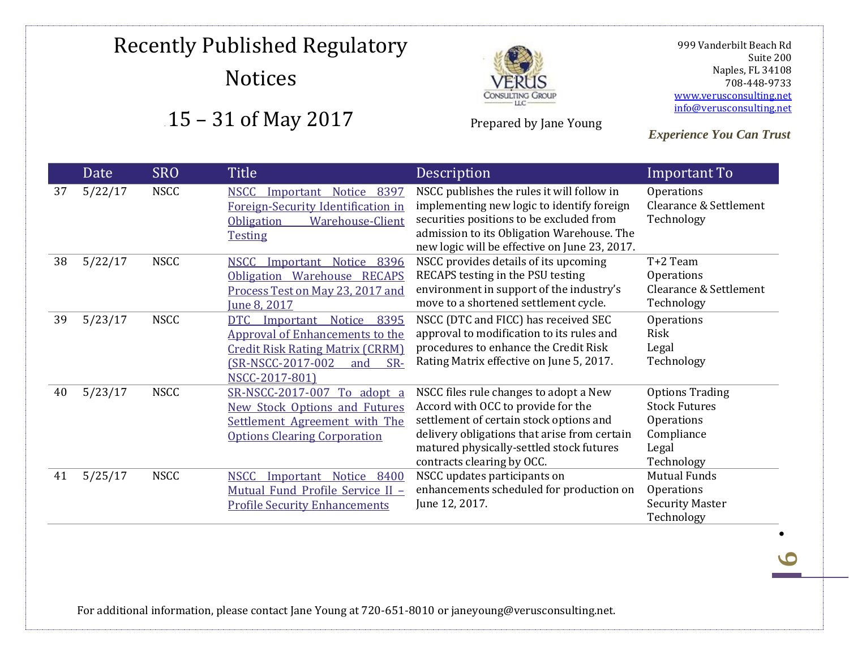

Prepared by Jane Young

 999 Vanderbilt Beach Rd Suite 200 Naples, FL 34108 708-448-9733 [www.verusconsulting.net](http://www.verusconsulting.net/) [info@verusconsulting.net](mailto:info@verusconsulting.net)

*Experience You Can Trust*

|    | Date    | <b>SRO</b>  | Title                                                                                                                                                                        | Description                                                                                                                                                                                                                                       | Important To                                                                                      |
|----|---------|-------------|------------------------------------------------------------------------------------------------------------------------------------------------------------------------------|---------------------------------------------------------------------------------------------------------------------------------------------------------------------------------------------------------------------------------------------------|---------------------------------------------------------------------------------------------------|
| 37 | 5/22/17 | <b>NSCC</b> | Notice<br><b>NSCC</b><br>Important<br>8397<br>Foreign-Security Identification in<br><b>Obligation</b><br><b>Warehouse-Client</b><br><b>Testing</b>                           | NSCC publishes the rules it will follow in<br>implementing new logic to identify foreign<br>securities positions to be excluded from<br>admission to its Obligation Warehouse. The<br>new logic will be effective on June 23, 2017.               | <b>Operations</b><br>Clearance & Settlement<br>Technology                                         |
| 38 | 5/22/17 | <b>NSCC</b> | <b>NSCC</b><br>Important<br>Notice<br>8396<br>Obligation Warehouse RECAPS<br>Process Test on May 23, 2017 and<br>June 8, 2017                                                | NSCC provides details of its upcoming<br>RECAPS testing in the PSU testing<br>environment in support of the industry's<br>move to a shortened settlement cycle.                                                                                   | T+2 Team<br>Operations<br>Clearance & Settlement<br>Technology                                    |
| 39 | 5/23/17 | <b>NSCC</b> | <b>DTC</b><br>Notice<br>8395<br>Important<br>Approval of Enhancements to the<br><b>Credit Risk Rating Matrix (CRRM)</b><br>(SR-NSCC-2017-002<br>SR-<br>and<br>NSCC-2017-801) | NSCC (DTC and FICC) has received SEC<br>approval to modification to its rules and<br>procedures to enhance the Credit Risk<br>Rating Matrix effective on June 5, 2017.                                                                            | Operations<br>Risk<br>Legal<br>Technology                                                         |
| 40 | 5/23/17 | <b>NSCC</b> | SR-NSCC-2017-007<br>To adopt a<br><b>New Stock Options and Futures</b><br>Settlement Agreement with The<br><b>Options Clearing Corporation</b>                               | NSCC files rule changes to adopt a New<br>Accord with OCC to provide for the<br>settlement of certain stock options and<br>delivery obligations that arise from certain<br>matured physically-settled stock futures<br>contracts clearing by OCC. | <b>Options Trading</b><br><b>Stock Futures</b><br>Operations<br>Compliance<br>Legal<br>Technology |
| 41 | 5/25/17 | <b>NSCC</b> | <b>NSCC</b><br>Notice 8400<br>Important<br>Mutual Fund Profile Service II -<br><b>Profile Security Enhancements</b>                                                          | NSCC updates participants on<br>enhancements scheduled for production on<br>June 12, 2017.                                                                                                                                                        | <b>Mutual Funds</b><br>Operations<br><b>Security Master</b><br>Technology                         |

For additional information, please contact Jane Young at 720-651-8010 or janeyoung@verusconsulting.net.

**9**

.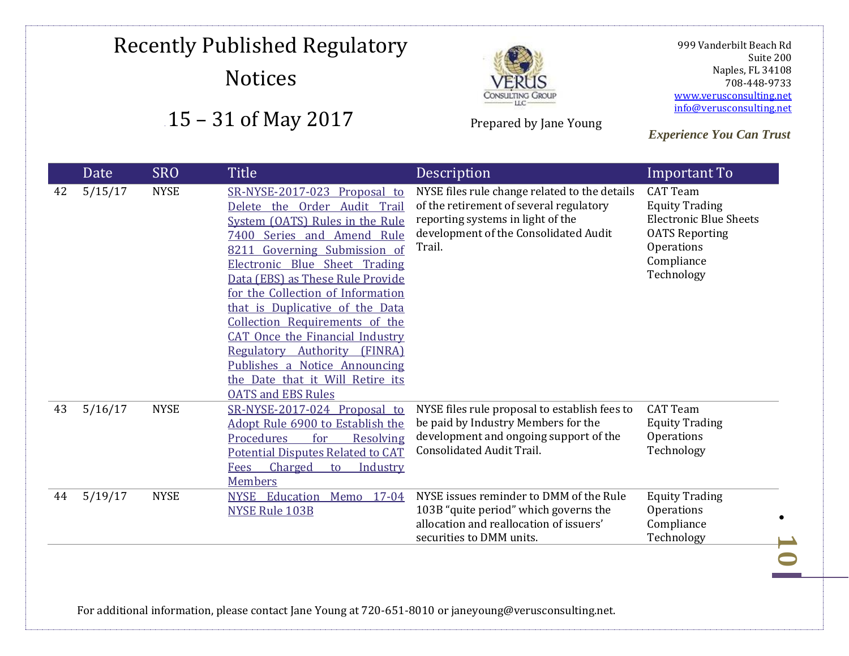

Prepared by Jane Young

 999 Vanderbilt Beach Rd Suite 200 Naples, FL 34108 708-448-9733 [www.verusconsulting.net](http://www.verusconsulting.net/) [info@verusconsulting.net](mailto:info@verusconsulting.net)

*Experience You Can Trust*

|    | Date    | <b>SRO</b>  | Title                                                                                                                                                                                                                                                                                                                                                                                                                                                                                                                          | Description                                                                                                                                                                      | Important To                                                                                                                                 |
|----|---------|-------------|--------------------------------------------------------------------------------------------------------------------------------------------------------------------------------------------------------------------------------------------------------------------------------------------------------------------------------------------------------------------------------------------------------------------------------------------------------------------------------------------------------------------------------|----------------------------------------------------------------------------------------------------------------------------------------------------------------------------------|----------------------------------------------------------------------------------------------------------------------------------------------|
| 42 | 5/15/17 | <b>NYSE</b> | SR-NYSE-2017-023 Proposal to<br>Delete the Order Audit Trail<br>System (OATS) Rules in the Rule<br>7400 Series and Amend Rule<br>Governing Submission of<br>8211<br>Electronic Blue Sheet Trading<br>Data (EBS) as These Rule Provide<br>for the Collection of Information<br>that is Duplicative of the Data<br>Collection Requirements of the<br><b>CAT Once the Financial Industry</b><br>Regulatory Authority<br>(FINRA)<br>Publishes a Notice Announcing<br>the Date that it Will Retire its<br><b>OATS and EBS Rules</b> | NYSE files rule change related to the details<br>of the retirement of several regulatory<br>reporting systems in light of the<br>development of the Consolidated Audit<br>Trail. | <b>CAT Team</b><br><b>Equity Trading</b><br><b>Electronic Blue Sheets</b><br><b>OATS Reporting</b><br>Operations<br>Compliance<br>Technology |
| 43 | 5/16/17 | <b>NYSE</b> | SR-NYSE-2017-024 Proposal to<br>Adopt Rule 6900 to Establish the<br>Procedures<br>for<br>Resolving<br><b>Potential Disputes Related to CAT</b><br>Charged<br>Industry<br>Fees<br>to<br><b>Members</b>                                                                                                                                                                                                                                                                                                                          | NYSE files rule proposal to establish fees to<br>be paid by Industry Members for the<br>development and ongoing support of the<br><b>Consolidated Audit Trail.</b>               | <b>CAT Team</b><br><b>Equity Trading</b><br>Operations<br>Technology                                                                         |
| 44 | 5/19/17 | <b>NYSE</b> | Education<br>Memo<br>$17 - 04$<br><b>NYSE</b><br><b>NYSE Rule 103B</b>                                                                                                                                                                                                                                                                                                                                                                                                                                                         | NYSE issues reminder to DMM of the Rule<br>103B "quite period" which governs the<br>allocation and reallocation of issuers'<br>securities to DMM units.                          | <b>Equity Trading</b><br>Operations<br>Compliance<br>Technology                                                                              |